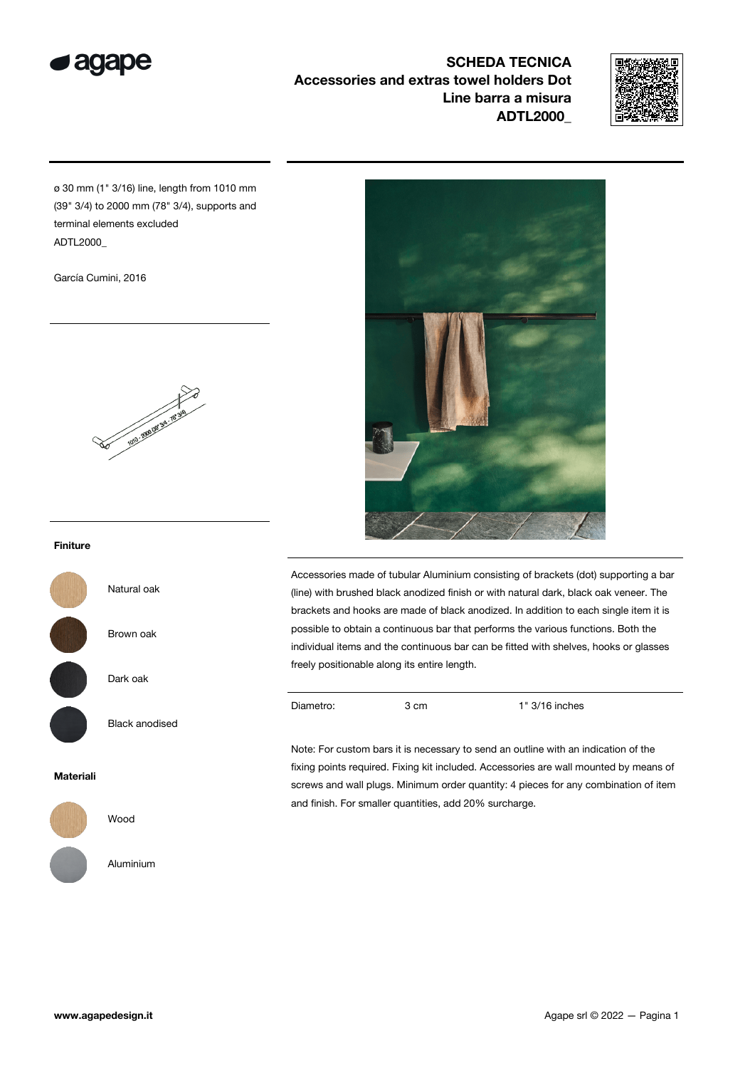

SCHEDA TECNICA Accessories and extras towel holders Dot Line barra a misura ADTL2000\_



ø 30 mm (1" 3/16) line, length from 1010 mm (39" 3/4) to 2000 mm (78" 3/4), supports and terminal elements excluded ADTL2000\_

García Cumini, 2016



# Finiture

Natural oak Brown oak

Dark oak

Black anodised

### Materiali



Wood

Aluminium



Accessories made of tubular Aluminium consisting of brackets (dot) supporting a bar (line) with brushed black anodized finish or with natural dark, black oak veneer. The brackets and hooks are made of black anodized. In addition to each single item it is possible to obtain a continuous bar that performs the various functions. Both the individual items and the continuous bar can be fitted with shelves, hooks or glasses freely positionable along its entire length.

Diametro: 3 cm 1" 3/16 inches

Note: For custom bars it is necessary to send an outline with an indication of the fixing points required. Fixing kit included. Accessories are wall mounted by means of screws and wall plugs. Minimum order quantity: 4 pieces for any combination of item and finish. For smaller quantities, add 20% surcharge.